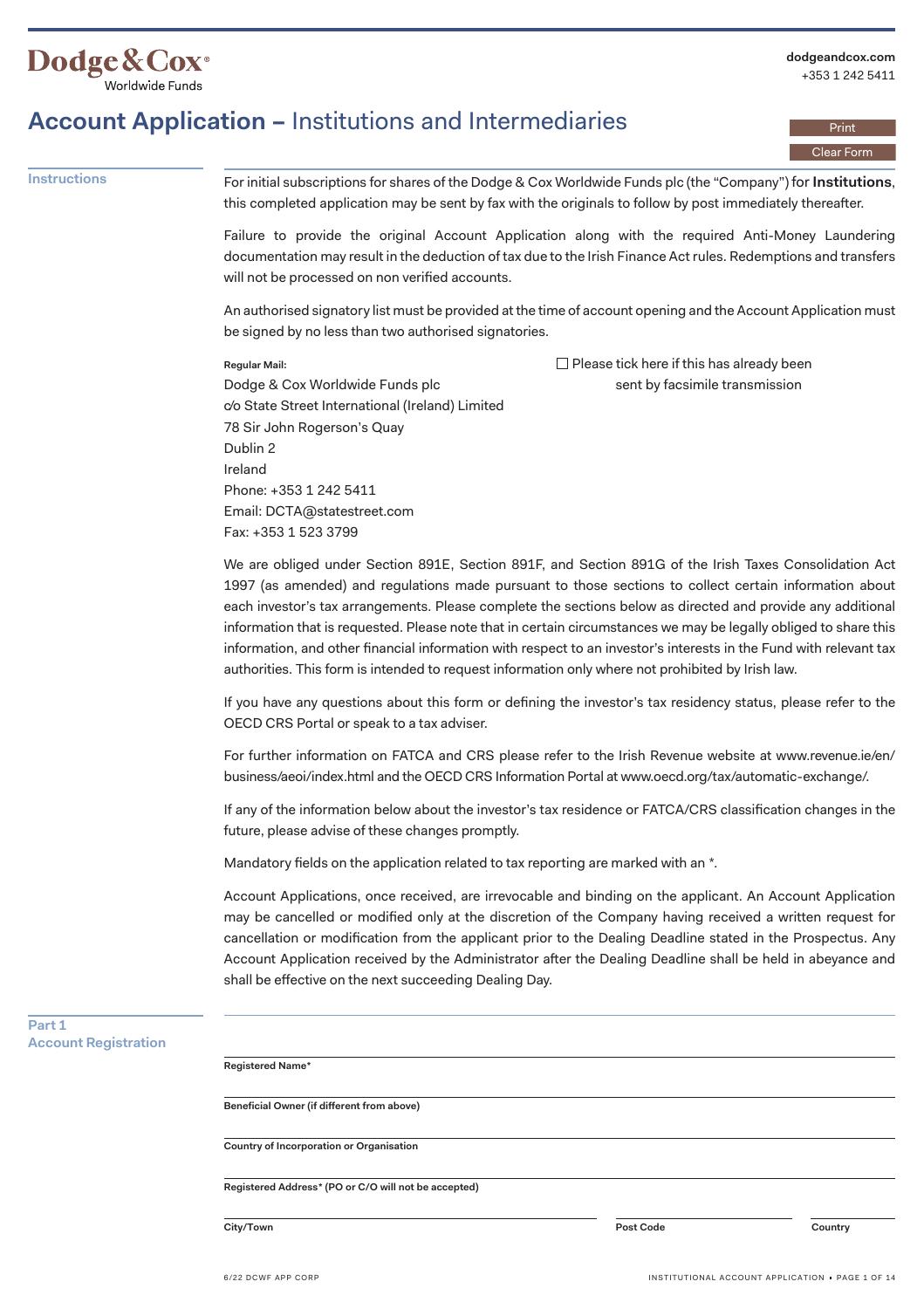

Print Clear Form

## **Account Application –** Institutions and Intermediaries

**Instructions** For initial subscriptions for shares of the Dodge & Cox Worldwide Funds plc (the "Company") for **Institutions**, this completed application may be sent by fax with the originals to follow by post immediately thereafter.

> Failure to provide the original Account Application along with the required Anti-Money Laundering documentation may result in the deduction of tax due to the Irish Finance Act rules. Redemptions and transfers will not be processed on non verified accounts.

> An authorised signatory list must be provided at the time of account opening and the Account Application must be signed by no less than two authorised signatories.

### **Regular Mail:**

 $\Box$  Please tick here if this has already been sent by facsimile transmission

Dodge & Cox Worldwide Funds plc c/o State Street International (Ireland) Limited 78 Sir John Rogerson's Quay Dublin 2 Ireland Phone: +353 1 242 5411 Email: [DCTA@statestreet.com](mailto:DCTA@statestreet.com) Fax: +353 1 523 3799

We are obliged under Section 891E, Section 891F, and Section 891G of the Irish Taxes Consolidation Act 1997 (as amended) and regulations made pursuant to those sections to collect certain information about each investor's tax arrangements. Please complete the sections below as directed and provide any additional information that is requested. Please note that in certain circumstances we may be legally obliged to share this information, and other financial information with respect to an investor's interests in the Fund with relevant tax authorities. This form is intended to request information only where not prohibited by Irish law.

If you have any questions about this form or defining the investor's tax residency status, please refer to the OECD CRS Portal or speak to a tax adviser.

For further information on FATCA and CRS please refer to the Irish Revenue website at [www.revenue.ie/en](www.revenue.ie/en/business/aeoi/index.html)/ business/aeoi/index.html and the OECD CRS Information Portal at<www.oecd.org/tax/automatic-exchange>/.

If any of the information below about the investor's tax residence or FATCA/CRS classification changes in the future, please advise of these changes promptly.

Mandatory fields on the application related to tax reporting are marked with an \*.

Account Applications, once received, are irrevocable and binding on the applicant. An Account Application may be cancelled or modified only at the discretion of the Company having received a written request for cancellation or modification from the applicant prior to the Dealing Deadline stated in the Prospectus. Any Account Application received by the Administrator after the Dealing Deadline shall be held in abeyance and shall be effective on the next succeeding Dealing Day.

### **Part 1 Account Registration**

**Registered Name\*** 

**Beneficial Owner (if different from above)** 

**Country of Incorporation or Organisation** 

**Registered Address\* (PO or C/O will not be accepted)** 

**City/Town Post Code Country**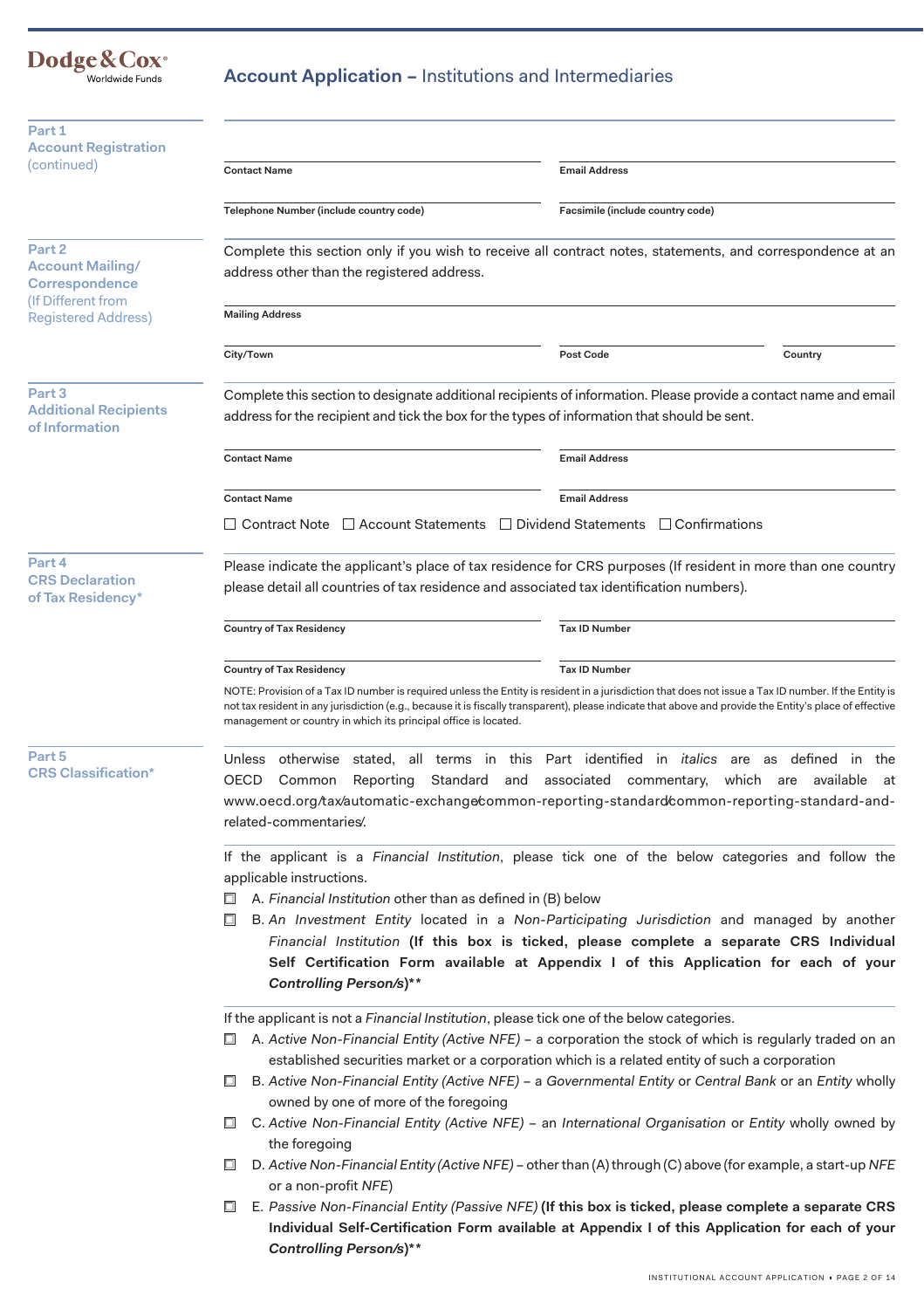## Dodge&Cox<sup>®</sup><br>Worldwide Funds

## **Account Application –** Institutions and Intermediaries

| Part 1                                                         |                                                                                                                                                                                                                                                                                                                                                 |                                                                                                                                                                                                                                                                                                                 |  |  |
|----------------------------------------------------------------|-------------------------------------------------------------------------------------------------------------------------------------------------------------------------------------------------------------------------------------------------------------------------------------------------------------------------------------------------|-----------------------------------------------------------------------------------------------------------------------------------------------------------------------------------------------------------------------------------------------------------------------------------------------------------------|--|--|
| <b>Account Registration</b><br>(continued)                     | <b>Contact Name</b>                                                                                                                                                                                                                                                                                                                             | <b>Email Address</b>                                                                                                                                                                                                                                                                                            |  |  |
|                                                                | Telephone Number (include country code)                                                                                                                                                                                                                                                                                                         | Facsimile (include country code)                                                                                                                                                                                                                                                                                |  |  |
| Part <sub>2</sub><br><b>Account Mailing/</b><br>Correspondence | address other than the registered address.                                                                                                                                                                                                                                                                                                      | Complete this section only if you wish to receive all contract notes, statements, and correspondence at an                                                                                                                                                                                                      |  |  |
| (If Different from<br><b>Registered Address)</b>               | <b>Mailing Address</b>                                                                                                                                                                                                                                                                                                                          |                                                                                                                                                                                                                                                                                                                 |  |  |
|                                                                | City/Town                                                                                                                                                                                                                                                                                                                                       | <b>Post Code</b><br>Country                                                                                                                                                                                                                                                                                     |  |  |
| Part 3<br><b>Additional Recipients</b><br>of Information       |                                                                                                                                                                                                                                                                                                                                                 | Complete this section to designate additional recipients of information. Please provide a contact name and email<br>address for the recipient and tick the box for the types of information that should be sent.                                                                                                |  |  |
|                                                                | <b>Contact Name</b>                                                                                                                                                                                                                                                                                                                             | <b>Email Address</b>                                                                                                                                                                                                                                                                                            |  |  |
|                                                                | <b>Contact Name</b>                                                                                                                                                                                                                                                                                                                             | <b>Email Address</b>                                                                                                                                                                                                                                                                                            |  |  |
|                                                                | <b>Contract Note</b>                                                                                                                                                                                                                                                                                                                            | $\Box$ Account Statements $\Box$ Dividend Statements $\Box$ Confirmations                                                                                                                                                                                                                                       |  |  |
| Part 4<br><b>CRS Declaration</b><br>of Tax Residency*          | Please indicate the applicant's place of tax residence for CRS purposes (If resident in more than one country<br>please detail all countries of tax residence and associated tax identification numbers).                                                                                                                                       |                                                                                                                                                                                                                                                                                                                 |  |  |
|                                                                | <b>Country of Tax Residency</b>                                                                                                                                                                                                                                                                                                                 | <b>Tax ID Number</b>                                                                                                                                                                                                                                                                                            |  |  |
|                                                                | <b>Country of Tax Residency</b>                                                                                                                                                                                                                                                                                                                 | <b>Tax ID Number</b>                                                                                                                                                                                                                                                                                            |  |  |
|                                                                | management or country in which its principal office is located.                                                                                                                                                                                                                                                                                 | NOTE: Provision of a Tax ID number is required unless the Entity is resident in a jurisdiction that does not issue a Tax ID number. If the Entity is<br>not tax resident in any jurisdiction (e.g., because it is fiscally transparent), please indicate that above and provide the Entity's place of effective |  |  |
| Part 5<br><b>CRS Classification*</b>                           | otherwise stated, all terms in this Part identified in italics<br>defined in<br><b>Unless</b><br>are as<br>the<br>Reporting Standard<br>associated<br>commentary, which are available<br>OECD<br>and<br>Common<br>- at<br>www.oecd.org/tax/automatic-exchange/common-reporting-standard/common-reporting-standard-and-<br>related-commentaries. |                                                                                                                                                                                                                                                                                                                 |  |  |
|                                                                | If the applicant is a Financial Institution, please tick one of the below categories and follow the<br>applicable instructions.<br>A. Financial Institution other than as defined in (B) below                                                                                                                                                  |                                                                                                                                                                                                                                                                                                                 |  |  |
|                                                                | B. An Investment Entity located in a Non-Participating Jurisdiction and managed by another<br>□<br>Financial Institution (If this box is ticked, please complete a separate CRS Individual<br>Self Certification Form available at Appendix I of this Application for each of your<br>Controlling Person/s)**                                   |                                                                                                                                                                                                                                                                                                                 |  |  |
|                                                                | If the applicant is not a Financial Institution, please tick one of the below categories.<br>$\Box$ A. Active Non-Financial Entity (Active NFE) – a corporation the stock of which is regularly traded on an<br>established securities market or a corporation which is a related entity of such a corporation                                  |                                                                                                                                                                                                                                                                                                                 |  |  |
|                                                                | B. Active Non-Financial Entity (Active NFE) - a Governmental Entity or Central Bank or an Entity wholly<br>□<br>owned by one of more of the foregoing<br>C. Active Non-Financial Entity (Active NFE) - an International Organisation or Entity wholly owned by<br>$\Box$                                                                        |                                                                                                                                                                                                                                                                                                                 |  |  |
|                                                                | the foregoing<br>$\Box$<br>D. Active Non-Financial Entity (Active NFE) - other than (A) through (C) above (for example, a start-up NFE<br>or a non-profit NFE)                                                                                                                                                                                  |                                                                                                                                                                                                                                                                                                                 |  |  |
|                                                                | E. Passive Non-Financial Entity (Passive NFE) (If this box is ticked, please complete a separate CRS<br>$\Box$<br>Individual Self-Certification Form available at Appendix I of this Application for each of your<br>Controlling Person/s)**                                                                                                    |                                                                                                                                                                                                                                                                                                                 |  |  |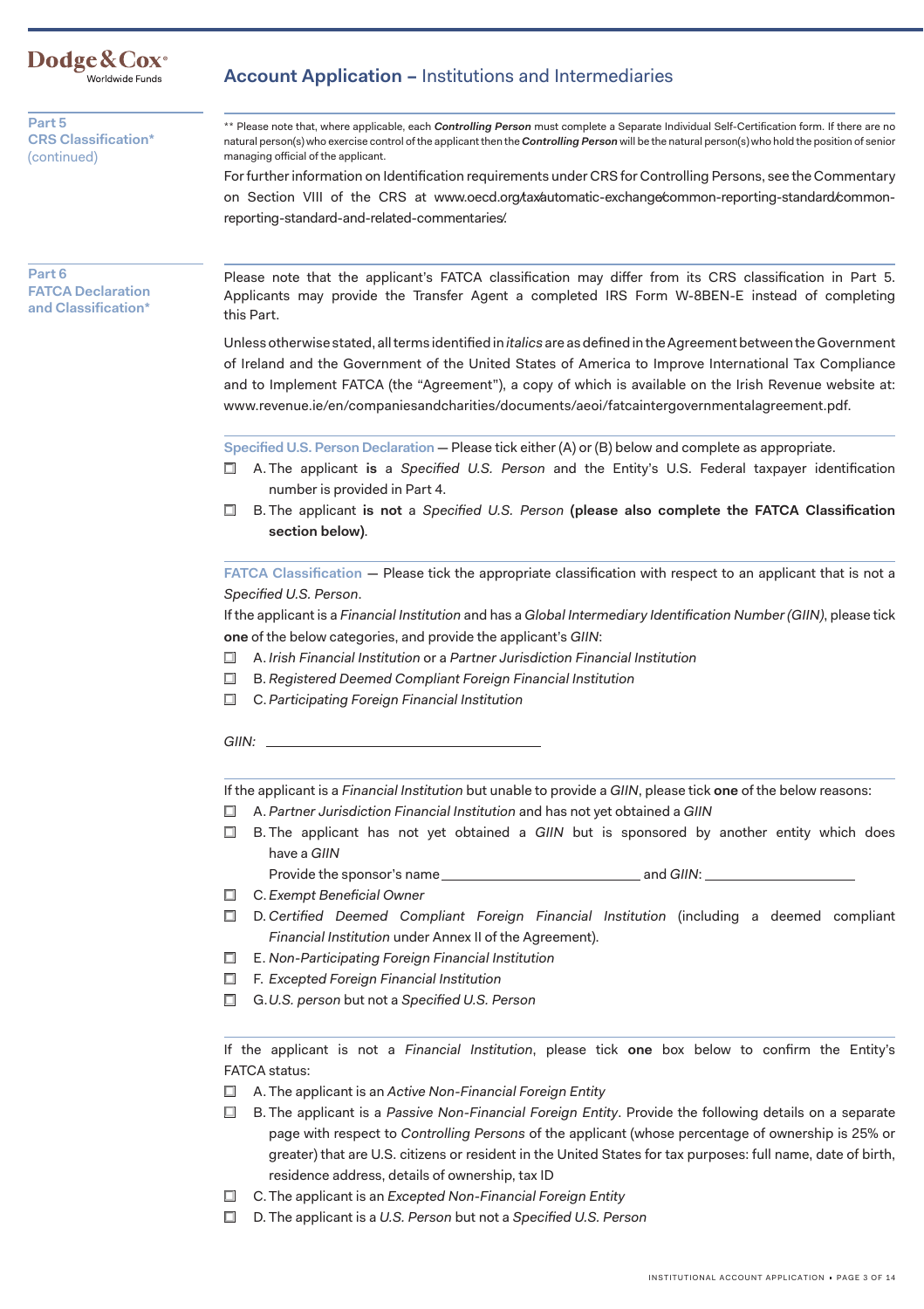

**Part 5 CRS Classification\***  (continued)

### **Account Application –** Institutions and Intermediaries

\*\* Please note that, where applicable, each *Controlling Person* must complete a Separate Individual Self-Certification form. If there are no natural person(s) who exercise control of the applicant then the *Controlling Person* will be the natural person(s) who hold the position of senior managing official of the applicant.

For further information on Identification requirements under CRS for Controlling Persons, see the Commentary on Section VIII of the CRS at [www.oecd.org/tax/automatic-exchange/common-reporting-standard/common](www.oecd.org/tax/automatic-exchange/common-reporting-standard/common-reporting-standard-and-related-commentaries/)reporting-standard-and-related-commentaries/.

### **Part 6 FATCA Declaration and Classification\***

Please note that the applicant's FATCA classification may differ from its CRS classification in Part 5. Applicants may provide the Transfer Agent a completed IRS Form W-8BEN-E instead of completing this Part.

Unless otherwise stated, all terms identified in *italics* are as defined in the Agreement between the Government of Ireland and the Government of the United States of America to Improve International Tax Compliance and to Implement FATCA (the "Agreement"), a copy of which is available on the Irish Revenue website at: <www.revenue.ie/en/companiesandcharities/documents/aeoi/fatcaintergovernmentalagreement.pdf>.

**Specified U.S. Person Declaration** — Please tick either (A) or (B) below and complete as appropriate.

- □ A. The applicant **is** a *Specified U.S. Person* and the Entity's U.S. Federal taxpayer identification number is provided in Part 4.
- □ B. The applicant **is not** a *Specified U.S. Person* **(please also complete the FATCA Classification section below)**.

 **FATCA Classification** — Please tick the appropriate classification with respect to an applicant that is not a *Specified U.S. Person*.

If the applicant is a *Financial Institution* and has a *Global Intermediary Identification Number (GIIN)*, please tick **one** of the below categories, and provide the applicant's *GIIN*:

- □ A. *Irish Financial Institution* or a *Partner Jurisdiction Financial Institution*
- □ B. *Registered Deemed Compliant Foreign Financial Institution*
- □ C. *Participating Foreign Financial Institution*

*GIIN:* 

If the applicant is a *Financial Institution* but unable to provide a *GIIN*, please tick **one** of the below reasons:

- □ A. *Partner Jurisdiction Financial Institution* and has not yet obtained a *GIIN*
- □ B. The applicant has not yet obtained a *GIIN* but is sponsored by another entity which does have a *GIIN*

Provide the sponsor's name and *GIIN*:

- □ C. *Exempt Beneficial Owner*
- □ D. *Certified Deemed Compliant Foreign Financial Institution* (including a deemed compliant *Financial Institution* under Annex II of the Agreement).
- □ E. *Non-Participating Foreign Financial Institution*
- □ F. *Excepted Foreign Financial Institution*
- □ G.*U.S. person* but not a *Specified U.S. Person*

If the applicant is not a *Financial Institution*, please tick **one** box below to confirm the Entity's FATCA status:

- □ A. The applicant is an *Active Non-Financial Foreign Entity*
- □ B. The applicant is a *Passive Non-Financial Foreign Entity*. Provide the following details on a separate page with respect to *Controlling Persons* of the applicant (whose percentage of ownership is 25% or greater) that are U.S. citizens or resident in the United States for tax purposes: full name, date of birth, residence address, details of ownership, tax ID
- □ C. The applicant is an *Excepted Non-Financial Foreign Entity*
- □ D. The applicant is a *U.S. Person* but not a *Specified U.S. Person*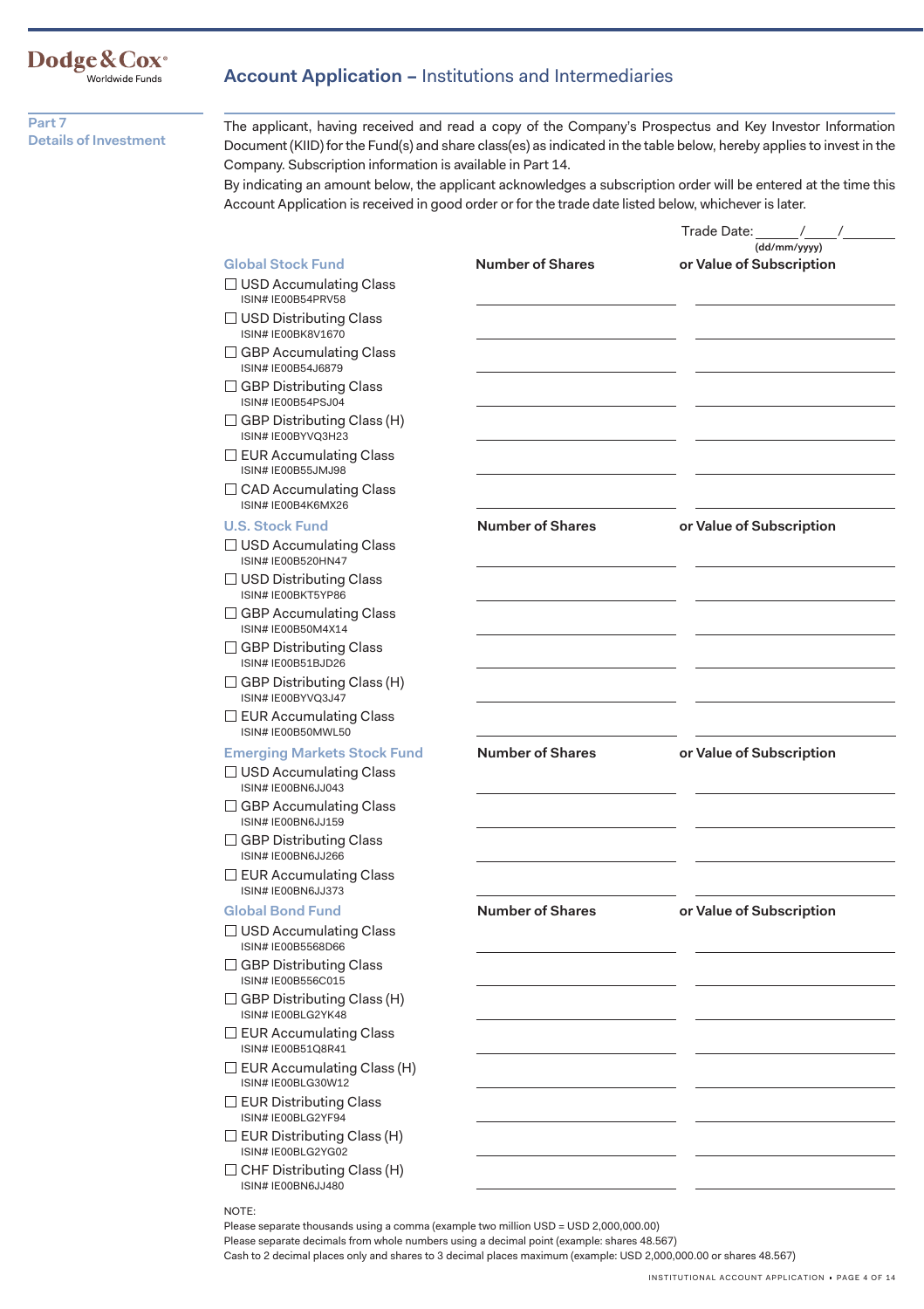## Dodge&Cox<sup>®</sup><br>Worldwide Funds

### **Account Application –** Institutions and Intermediaries

**Part 7 Details of Investment** 

The applicant, having received and read a copy of the Company's Prospectus and Key Investor Information Document (KIID) for the Fund(s) and share class(es) as indicated in the table below, hereby applies to invest in the Company. Subscription information is available in Part 14.

By indicating an amount below, the applicant acknowledges a subscription order will be entered at the time this Account Application is received in good order or for the trade date listed below, whichever is later.

|                                                            |                         | Trade Date:<br>$\sqrt{2}$                |
|------------------------------------------------------------|-------------------------|------------------------------------------|
| <b>Global Stock Fund</b>                                   | <b>Number of Shares</b> | (dd/mm/yyyy)<br>or Value of Subscription |
| $\Box$ USD Accumulating Class<br>ISIN# IE00B54PRV58        |                         |                                          |
| $\Box$ USD Distributing Class<br><b>ISIN# IE00BK8V1670</b> |                         |                                          |
| $\Box$ GBP Accumulating Class<br>ISIN# IE00B54J6879        |                         |                                          |
| $\Box$ GBP Distributing Class<br>ISIN# IE00B54PSJ04        |                         |                                          |
| □ GBP Distributing Class (H)<br>ISIN# IE00BYVQ3H23         |                         |                                          |
| $\Box$ EUR Accumulating Class<br>ISIN# IE00B55JMJ98        |                         |                                          |
| $\Box$ CAD Accumulating Class<br>ISIN# IE00B4K6MX26        |                         |                                          |
| <b>U.S. Stock Fund</b>                                     | <b>Number of Shares</b> | or Value of Subscription                 |
| $\Box$ USD Accumulating Class<br>ISIN# IE00B520HN47        |                         |                                          |
| □ USD Distributing Class<br>ISIN# IE00BKT5YP86             |                         |                                          |
| $\Box$ GBP Accumulating Class<br>ISIN# IE00B50M4X14        |                         |                                          |
| □ GBP Distributing Class<br>ISIN# IE00B51BJD26             |                         |                                          |
| $\Box$ GBP Distributing Class (H)<br>ISIN# IE00BYVQ3J47    |                         |                                          |
| $\Box$ EUR Accumulating Class<br>ISIN# IE00B50MWL50        |                         |                                          |
| <b>Emerging Markets Stock Fund</b>                         | <b>Number of Shares</b> | or Value of Subscription                 |
| $\Box$ USD Accumulating Class<br>ISIN# IE00BN6JJ043        |                         |                                          |
| $\Box$ GBP Accumulating Class<br>ISIN# IE00BN6JJ159        |                         |                                          |
| $\Box$ GBP Distributing Class<br>ISIN# IE00BN6JJ266        |                         |                                          |
| $\Box$ EUR Accumulating Class<br>ISIN# IE00BN6JJ373        |                         |                                          |
| <b>Global Bond Fund</b>                                    | <b>Number of Shares</b> | or Value of Subscription                 |
| $\Box$ USD Accumulating Class<br>ISIN# IE00B5568D66        |                         |                                          |
| $\Box$ GBP Distributing Class<br>ISIN# IE00B556C015        |                         |                                          |
| $\Box$ GBP Distributing Class (H)<br>ISIN# IE00BLG2YK48    |                         |                                          |
| $\Box$ EUR Accumulating Class<br>ISIN# IE00B51Q8R41        |                         |                                          |
| $\Box$ EUR Accumulating Class (H)<br>ISIN# IE00BLG30W12    |                         |                                          |
| $\Box$ EUR Distributing Class<br>ISIN# IE00BLG2YF94        |                         |                                          |
| $\Box$ EUR Distributing Class (H)<br>ISIN# IE00BLG2YG02    |                         |                                          |
| $\Box$ CHF Distributing Class (H)<br>ISIN# IE00BN6JJ480    |                         |                                          |
| NOTE:                                                      |                         |                                          |

Please separate thousands using a comma (example two million USD = USD 2,000,000.00)

Please separate decimals from whole numbers using a decimal point (example: shares 48.567)

Cash to 2 decimal places only and shares to 3 decimal places maximum (example: USD 2,000,000.00 or shares 48.567)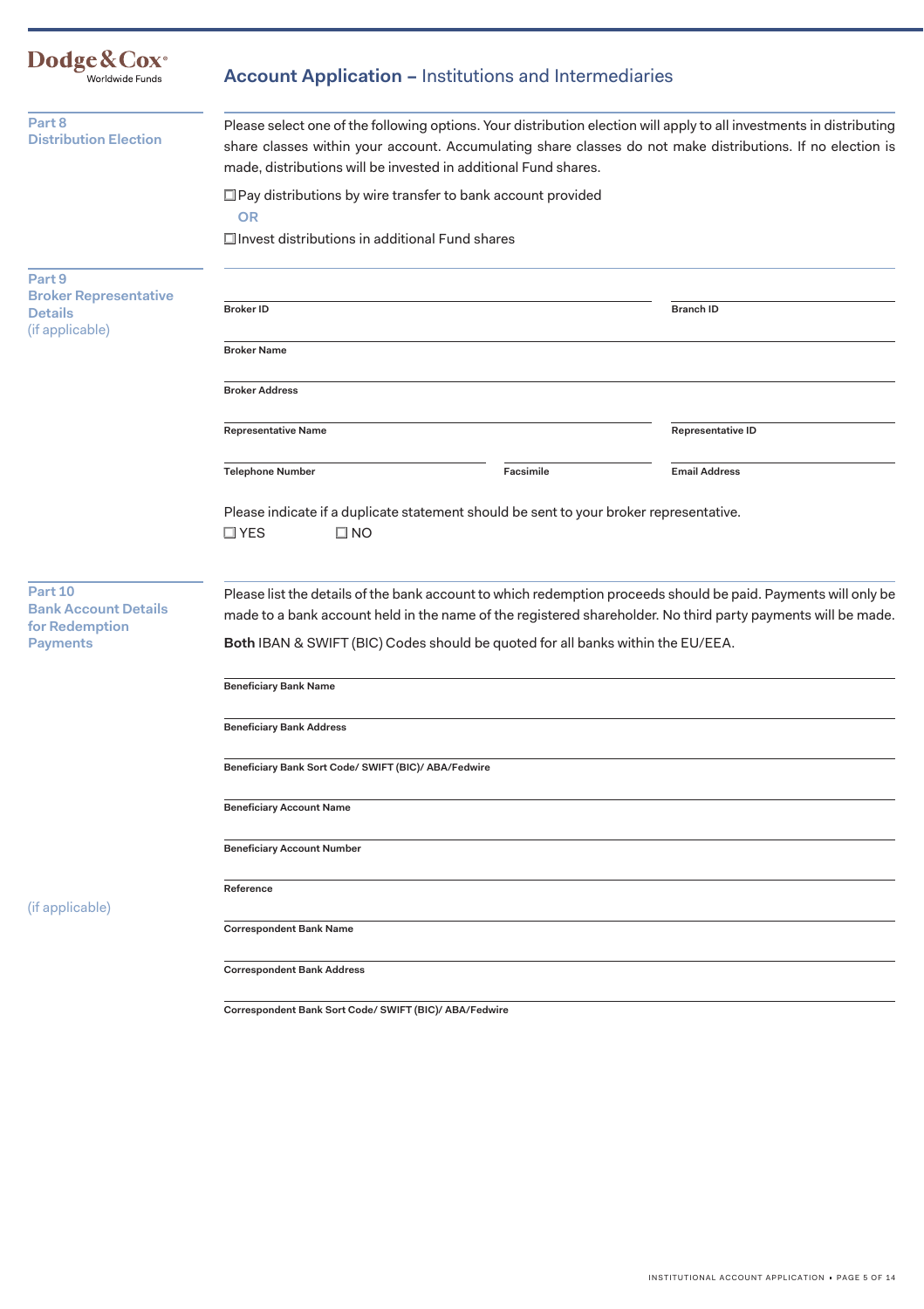| Dodge & Cox <sup>®</sup><br>Worldwide Funds                                 | <b>Account Application - Institutions and Intermediaries</b>                                                                                                                                                                                                                                          |                                                                                                                |  |
|-----------------------------------------------------------------------------|-------------------------------------------------------------------------------------------------------------------------------------------------------------------------------------------------------------------------------------------------------------------------------------------------------|----------------------------------------------------------------------------------------------------------------|--|
| Part 8<br><b>Distribution Election</b>                                      | Please select one of the following options. Your distribution election will apply to all investments in distributing<br>share classes within your account. Accumulating share classes do not make distributions. If no election is<br>made, distributions will be invested in additional Fund shares. |                                                                                                                |  |
|                                                                             | □ Pay distributions by wire transfer to bank account provided<br><b>OR</b><br>Invest distributions in additional Fund shares                                                                                                                                                                          |                                                                                                                |  |
| Part 9<br><b>Broker Representative</b><br><b>Details</b><br>(if applicable) | <b>Broker ID</b>                                                                                                                                                                                                                                                                                      | <b>Branch ID</b>                                                                                               |  |
|                                                                             | <b>Broker Name</b>                                                                                                                                                                                                                                                                                    |                                                                                                                |  |
|                                                                             | <b>Broker Address</b>                                                                                                                                                                                                                                                                                 |                                                                                                                |  |
|                                                                             | <b>Representative Name</b>                                                                                                                                                                                                                                                                            | Representative ID                                                                                              |  |
|                                                                             | Facsimile<br><b>Telephone Number</b>                                                                                                                                                                                                                                                                  | <b>Email Address</b>                                                                                           |  |
| Part 10<br><b>Bank Account Details</b>                                      | Please indicate if a duplicate statement should be sent to your broker representative.<br>$\square$ YES<br>$\square$ NO                                                                                                                                                                               | Please list the details of the bank account to which redemption proceeds should be paid. Payments will only be |  |
| for Redemption                                                              | made to a bank account held in the name of the registered shareholder. No third party payments will be made.                                                                                                                                                                                          |                                                                                                                |  |
| <b>Payments</b>                                                             | Both IBAN & SWIFT (BIC) Codes should be quoted for all banks within the EU/EEA.                                                                                                                                                                                                                       |                                                                                                                |  |
|                                                                             | <b>Beneficiary Bank Name</b>                                                                                                                                                                                                                                                                          |                                                                                                                |  |
|                                                                             | <b>Beneficiary Bank Address</b>                                                                                                                                                                                                                                                                       |                                                                                                                |  |
|                                                                             | Beneficiary Bank Sort Code/ SWIFT (BIC)/ ABA/Fedwire                                                                                                                                                                                                                                                  |                                                                                                                |  |
|                                                                             | <b>Beneficiary Account Name</b>                                                                                                                                                                                                                                                                       |                                                                                                                |  |
|                                                                             | <b>Beneficiary Account Number</b>                                                                                                                                                                                                                                                                     |                                                                                                                |  |
| (if applicable)                                                             | Reference                                                                                                                                                                                                                                                                                             |                                                                                                                |  |
|                                                                             | <b>Correspondent Bank Name</b>                                                                                                                                                                                                                                                                        |                                                                                                                |  |
|                                                                             | <b>Correspondent Bank Address</b>                                                                                                                                                                                                                                                                     |                                                                                                                |  |

**Correspondent Bank Sort Code/ SWIFT (BIC)/ ABA/Fedwire**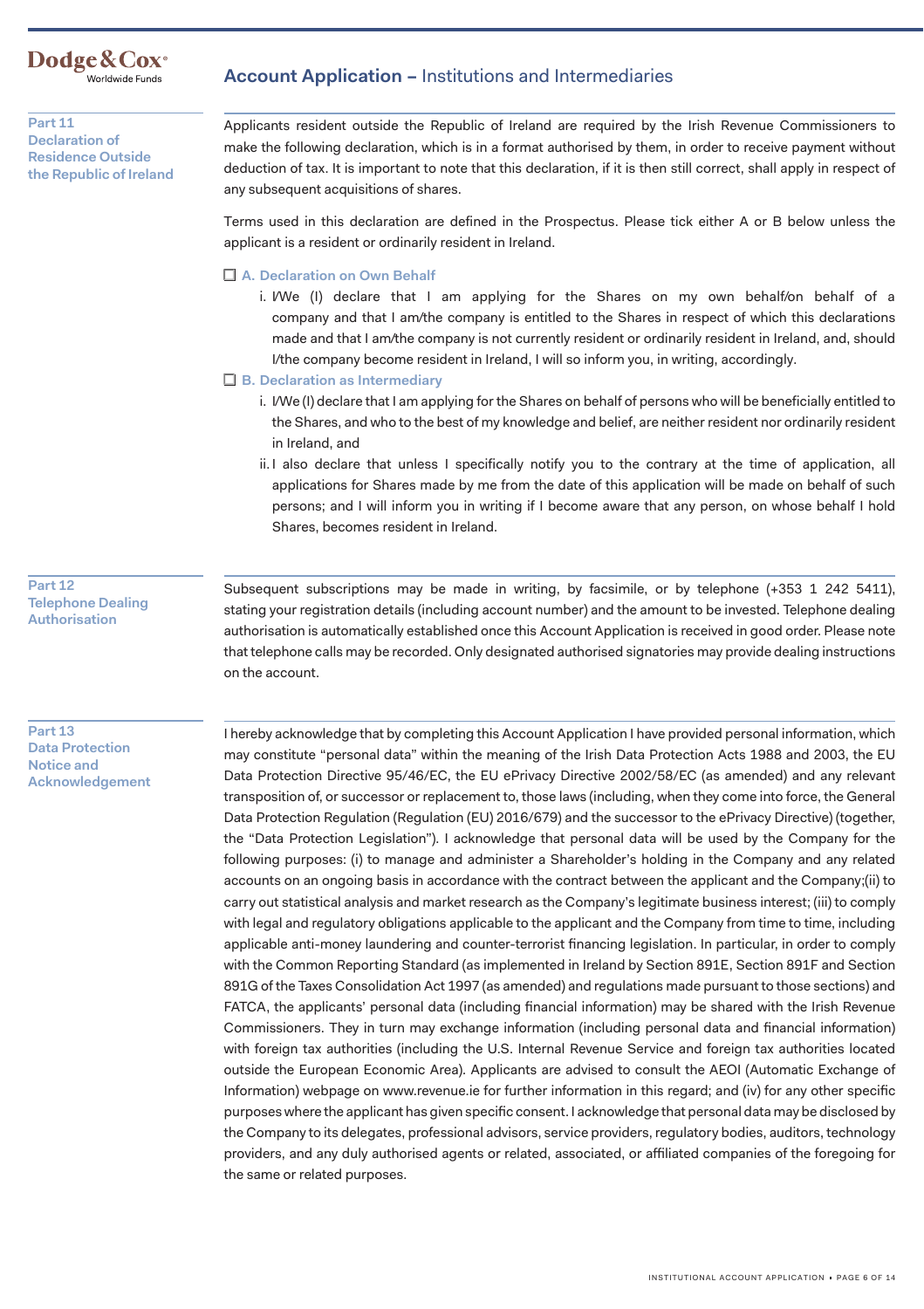**Dodge&Cox·** Worldwide Funds

**Part 11 Declaration of Residence Outside the Republic of Ireland** 

### **Account Application –** Institutions and Intermediaries

Applicants resident outside the Republic of Ireland are required by the Irish Revenue Commissioners to make the following declaration, which is in a format authorised by them, in order to receive payment without deduction of tax. It is important to note that this declaration, if it is then still correct, shall apply in respect of any subsequent acquisitions of shares.

Terms used in this declaration are defined in the Prospectus. Please tick either A or B below unless the applicant is a resident or ordinarily resident in Ireland.

□ A. Declaration on Own Behalf

. I/We (I) declare that I am applying for the Shares on my own behalf/on behalf of a i company and that I am/the company is entitled to the Shares in respect of which this declarations made and that I am/the company is not currently resident or ordinarily resident in Ireland, and, should I/the company become resident in Ireland, I will so inform you, in writing, accordingly.

□ B. Declaration as Intermediary

- i. I/We (I) declare that I am applying for the Shares on behalf of persons who will be beneficially entitled to the Shares, and who to the best of my knowledge and belief, are neither resident nor ordinarily resident in Ireland, and
- ii. I also declare that unless I specifically notify you to the contrary at the time of application, all applications for Shares made by me from the date of this application will be made on behalf of such persons; and I will inform you in writing if I become aware that any person, on whose behalf I hold Shares, becomes resident in Ireland.

**Part 12 Telephone Dealing Authorisation** 

Subsequent subscriptions may be made in writing, by facsimile, or by telephone (+353 1 242 5411), stating your registration details (including account number) and the amount to be invested. Telephone dealing authorisation is automatically established once this Account Application is received in good order. Please note that telephone calls may be recorded. Only designated authorised signatories may provide dealing instructions on the account.

**Part 13 Data Protection Notice and Acknowledgement** 

I hereby acknowledge that by completing this Account Application I have provided personal information, which may constitute "personal data" within the meaning of the Irish Data Protection Acts 1988 and 2003, the EU Data Protection Directive 95/46/EC, the EU ePrivacy Directive 2002/58/EC (as amended) and any relevant transposition of, or successor or replacement to, those laws (including, when they come into force, the General Data Protection Regulation (Regulation (EU) 2016/679) and the successor to the ePrivacy Directive) (together, the "Data Protection Legislation"). I acknowledge that personal data will be used by the Company for the following purposes: (i) to manage and administer a Shareholder's holding in the Company and any related accounts on an ongoing basis in accordance with the contract between the applicant and the Company;(ii) to carry out statistical analysis and market research as the Company's legitimate business interest; (iii) to comply with legal and regulatory obligations applicable to the applicant and the Company from time to time, including applicable anti-money laundering and counter-terrorist financing legislation. In particular, in order to comply with the Common Reporting Standard (as implemented in Ireland by Section 891E, Section 891F and Section 891G of the Taxes Consolidation Act 1997 (as amended) and regulations made pursuant to those sections) and FATCA, the applicants' personal data (including financial information) may be shared with the Irish Revenue Commissioners. They in turn may exchange information (including personal data and financial information) with foreign tax authorities (including the U.S. Internal Revenue Service and foreign tax authorities located outside the European Economic Area). Applicants are advised to consult the AEOI (Automatic Exchange of Information) webpage on <www.revenue.ie> for further information in this regard; and (iv) for any other specific purposes where the applicant has given specific consent. I acknowledge that personal data may be disclosed by the Company to its delegates, professional advisors, service providers, regulatory bodies, auditors, technology providers, and any duly authorised agents or related, associated, or affiliated companies of the foregoing for the same or related purposes.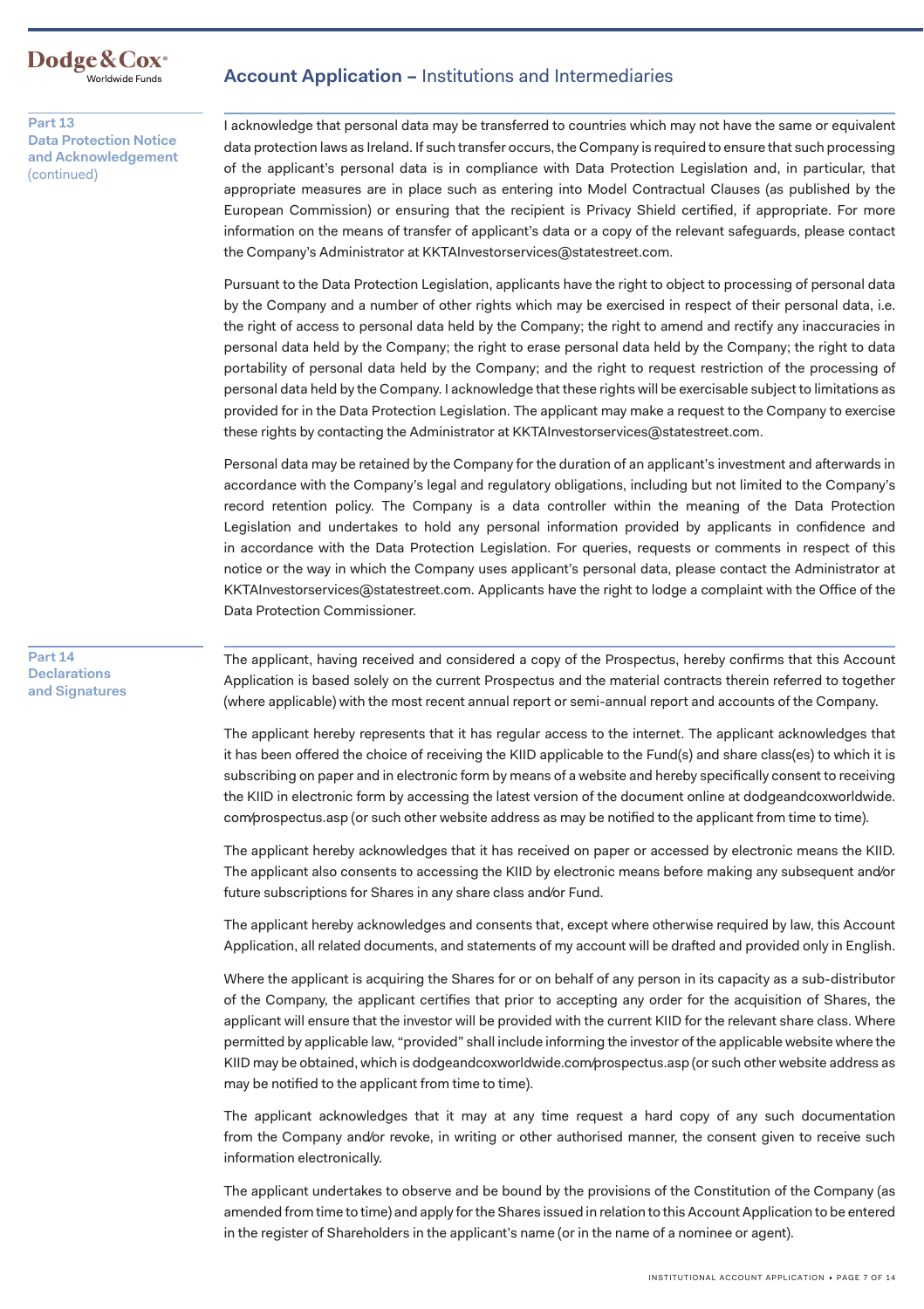Dodge & Cox<sup>®</sup><br><sup>Worldwide Funds</sub></sup>

### Account Application – Institutions and Intermediaries

**Part 13 Data Protection Notice and Acknowledgement**  (continued)

I acknowledge that personal data may be transferred to countries which may not have the same or equivalent data protection laws as Ireland. If such transfer occurs, the Company is required to ensure that such processing of the applicant's personal data is in compliance with Data Protection Legislation and, in particular, that appropriate measures are in place such as entering into Model Contractual Clauses (as published by the European Commission) or ensuring that the recipient is Privacy Shield certified, if appropriate. For more information on the means of transfer of applicant's data or a copy of the relevant safeguards, please contact the Company's Administrator at [KKTAInvestorservices@statestreet.com.](mailto:KKTAInvestorservices@statestreet.com)

Pursuant to the Data Protection Legislation, applicants have the right to object to processing of personal data by the Company and a number of other rights which may be exercised in respect of their personal data, i.e. the right of access to personal data held by the Company; the right to amend and rectify any inaccuracies in personal data held by the Company; the right to erase personal data held by the Company; the right to data portability of personal data held by the Company; and the right to request restriction of the processing of personal data held by the Company. I acknowledge that these rights will be exercisable subject to limitations as provided for in the Data Protection Legislation. The applicant may make a request to the Company to exercise these rights by contacting the Administrator at [KKTAInvestorservices@statestreet.com.](mailto:KKTAInvestorservices@statestreet.com)

Personal data may be retained by the Company for the duration of an applicant's investment and afterwards in accordance with the Company's legal and regulatory obligations, including but not limited to the Company's record retention policy. The Company is a data controller within the meaning of the Data Protection Legislation and undertakes to hold any personal information provided by applicants in confidence and in accordance with the Data Protection Legislation. For queries, requests or comments in respect of this notice or the way in which the Company uses applicant's personal data, please contact the Administrator at [KKTAInvestorservices@statestreet.com](mailto:KKTAInvestorservices@statestreet.com). Applicants have the right to lodge a complaint with the Office of the Data Protection Commissioner.

**Part 14 Declarations and Signatures** 

The applicant, having received and considered a copy of the Prospectus, hereby confirms that this Account Application is based solely on the current Prospectus and the material contracts therein referred to together (where applicable) with the most recent annual report or semi-annual report and accounts of the Company.

The applicant hereby represents that it has regular access to the internet. The applicant acknowledges that it has been offered the choice of receiving the KIID applicable to the Fund(s) and share class(es) to which it is subscribing on paper and in electronic form by means of a website and hereby specifically consent to receiving the KIID in electronic form by accessing the latest version of the document online at dodgeandcoxworldwide. com/prospectus.asp (or such other website address as may be notified to the applicant from time to time).

The applicant hereby acknowledges that it has received on paper or accessed by electronic means the KIID. The applicant also consents to accessing the KIID by electronic means before making any subsequent and/or future subscriptions for Shares in any share class and/or Fund.

The applicant hereby acknowledges and consents that, except where otherwise required by law, this Account Application, all related documents, and statements of my account will be drafted and provided only in English.

Where the applicant is acquiring the Shares for or on behalf of any person in its capacity as a sub-distributor of the Company, the applicant certifies that prior to accepting any order for the acquisition of Shares, the applicant will ensure that the investor will be provided with the current KIID for the relevant share class. Where permitted by applicable law, "provided" shall include informing the investor of the applicable website where the KIID may be obtained, which is [dodgeandcoxworldwide.com/prospectus.asp](https://dodgeandcoxworldwide.com/prospectus.asp) (or such other website address as may be notified to the applicant from time to time).

The applicant acknowledges that it may at any time request a hard copy of any such documentation from the Company and/or revoke, in writing or other authorised manner, the consent given to receive such information electronically.

The applicant undertakes to observe and be bound by the provisions of the Constitution of the Company (as amended from time to time) and apply for the Shares issued in relation to this Account Application to be entered in the register of Shareholders in the applicant's name (or in the name of a nominee or agent).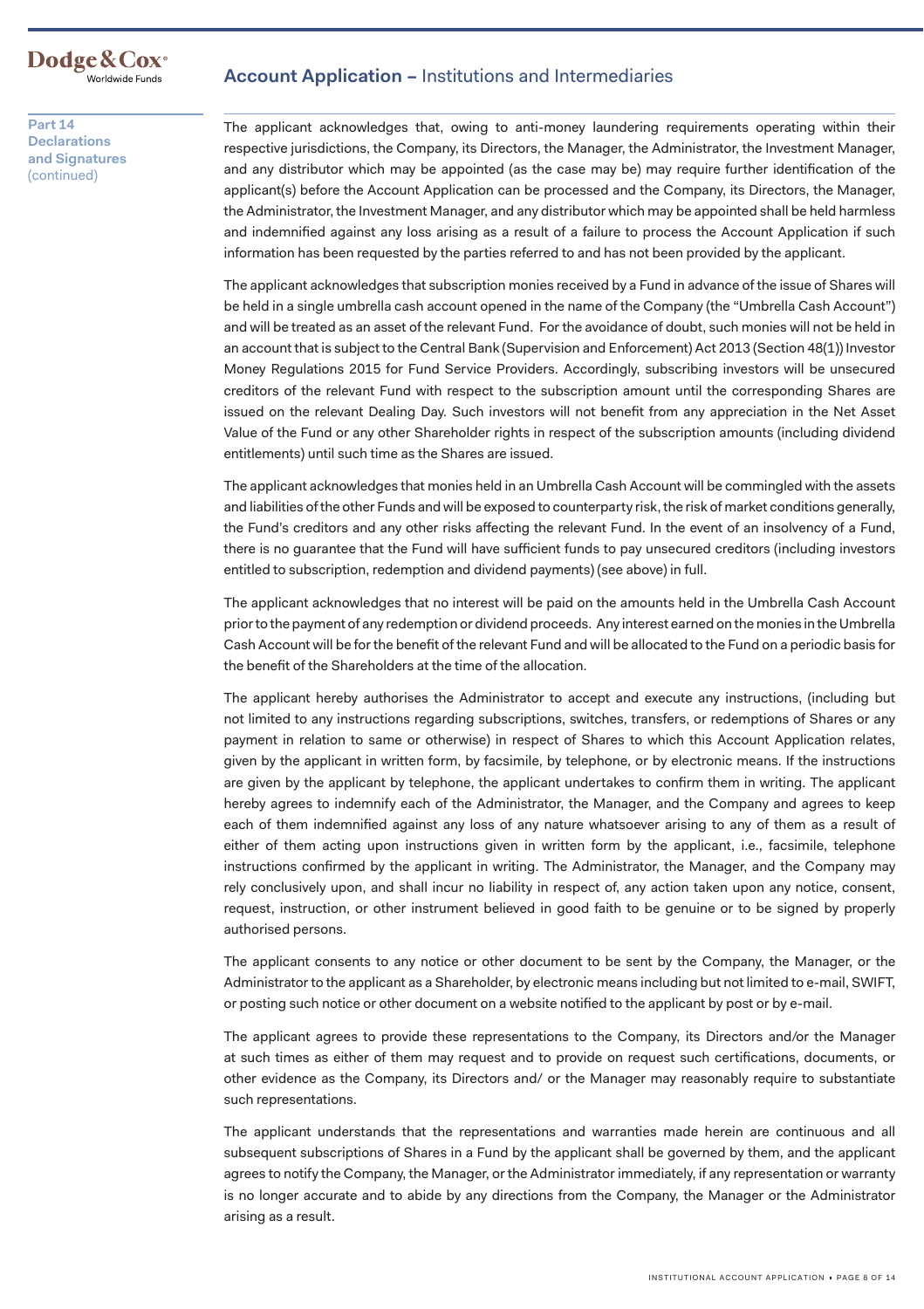

### **Account Application –** Institutions and Intermediaries

**Part 14 Declarations and Signatures**  (continued)

The applicant acknowledges that, owing to anti-money laundering requirements operating within their respective jurisdictions, the Company, its Directors, the Manager, the Administrator, the Investment Manager, and any distributor which may be appointed (as the case may be) may require further identification of the applicant(s) before the Account Application can be processed and the Company, its Directors, the Manager, the Administrator, the Investment Manager, and any distributor which may be appointed shall be held harmless and indemnified against any loss arising as a result of a failure to process the Account Application if such information has been requested by the parties referred to and has not been provided by the applicant.

The applicant acknowledges that subscription monies received by a Fund in advance of the issue of Shares will be held in a single umbrella cash account opened in the name of the Company (the "Umbrella Cash Account") and will be treated as an asset of the relevant Fund. For the avoidance of doubt, such monies will not be held in an account that is subject to the Central Bank (Supervision and Enforcement) Act 2013 (Section 48(1)) Investor Money Regulations 2015 for Fund Service Providers. Accordingly, subscribing investors will be unsecured creditors of the relevant Fund with respect to the subscription amount until the corresponding Shares are issued on the relevant Dealing Day. Such investors will not benefit from any appreciation in the Net Asset Value of the Fund or any other Shareholder rights in respect of the subscription amounts (including dividend entitlements) until such time as the Shares are issued.

The applicant acknowledges that monies held in an Umbrella Cash Account will be commingled with the assets and liabilities of the other Funds and will be exposed to counterparty risk, the risk of market conditions generally, the Fund's creditors and any other risks affecting the relevant Fund. In the event of an insolvency of a Fund, there is no guarantee that the Fund will have sufficient funds to pay unsecured creditors (including investors entitled to subscription, redemption and dividend payments) (see above) in full.

The applicant acknowledges that no interest will be paid on the amounts held in the Umbrella Cash Account prior to the payment of any redemption or dividend proceeds. Any interest earned on the monies in the Umbrella Cash Account will be for the benefit of the relevant Fund and will be allocated to the Fund on a periodic basis for the benefit of the Shareholders at the time of the allocation.

The applicant hereby authorises the Administrator to accept and execute any instructions, (including but not limited to any instructions regarding subscriptions, switches, transfers, or redemptions of Shares or any payment in relation to same or otherwise) in respect of Shares to which this Account Application relates, given by the applicant in written form, by facsimile, by telephone, or by electronic means. If the instructions are given by the applicant by telephone, the applicant undertakes to confirm them in writing. The applicant hereby agrees to indemnify each of the Administrator, the Manager, and the Company and agrees to keep each of them indemnified against any loss of any nature whatsoever arising to any of them as a result of either of them acting upon instructions given in written form by the applicant, i.e., facsimile, telephone instructions confirmed by the applicant in writing. The Administrator, the Manager, and the Company may rely conclusively upon, and shall incur no liability in respect of, any action taken upon any notice, consent, request, instruction, or other instrument believed in good faith to be genuine or to be signed by properly authorised persons.

The applicant consents to any notice or other document to be sent by the Company, the Manager, or the Administrator to the applicant as a Shareholder, by electronic means including but not limited to e-mail, SWIFT, or posting such notice or other document on a website notified to the applicant by post or by e-mail.

The applicant agrees to provide these representations to the Company, its Directors and/or the Manager at such times as either of them may request and to provide on request such certifications, documents, or other evidence as the Company, its Directors and/ or the Manager may reasonably require to substantiate such representations.

The applicant understands that the representations and warranties made herein are continuous and all subsequent subscriptions of Shares in a Fund by the applicant shall be governed by them, and the applicant agrees to notify the Company, the Manager, or the Administrator immediately, if any representation or warranty is no longer accurate and to abide by any directions from the Company, the Manager or the Administrator arising as a result.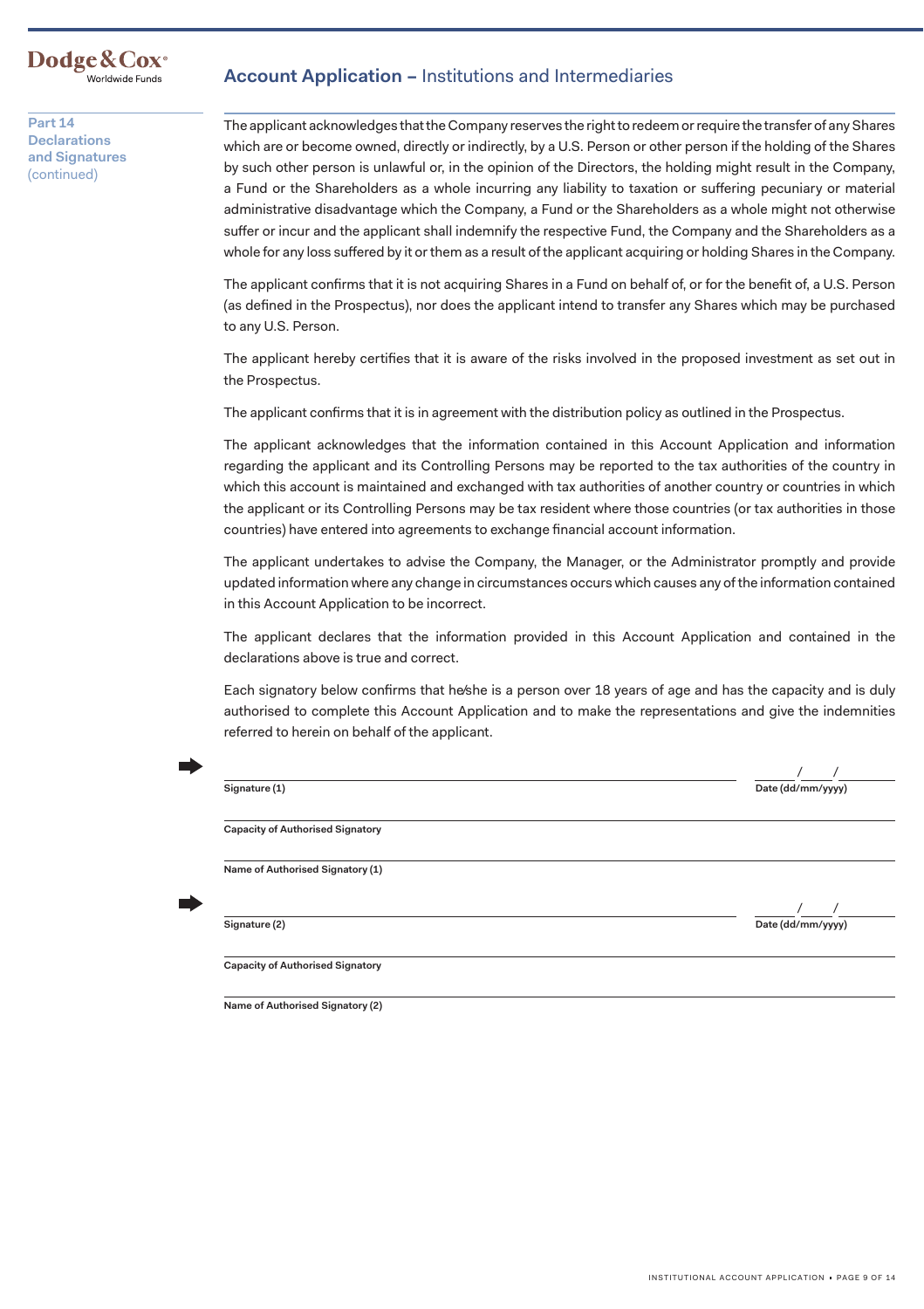### **Dodge&Cox·** Worldwide Funds

**Part 14 Declarations and Signatures**  (continued)

## **Account Application –** Institutions and Intermediaries

The applicant acknowledges that the Company reserves the right to redeem or require the transfer of any Shares which are or become owned, directly or indirectly, by a U.S. Person or other person if the holding of the Shares by such other person is unlawful or, in the opinion of the Directors, the holding might result in the Company, a Fund or the Shareholders as a whole incurring any liability to taxation or suffering pecuniary or material administrative disadvantage which the Company, a Fund or the Shareholders as a whole might not otherwise suffer or incur and the applicant shall indemnify the respective Fund, the Company and the Shareholders as a whole for any loss suffered by it or them as a result of the applicant acquiring or holding Shares in the Company.

The applicant confirms that it is not acquiring Shares in a Fund on behalf of, or for the benefit of, a U.S. Person (as defined in the Prospectus), nor does the applicant intend to transfer any Shares which may be purchased to any U.S. Person.

The applicant hereby certifies that it is aware of the risks involved in the proposed investment as set out in the Prospectus.

The applicant confirms that it is in agreement with the distribution policy as outlined in the Prospectus.

The applicant acknowledges that the information contained in this Account Application and information regarding the applicant and its Controlling Persons may be reported to the tax authorities of the country in which this account is maintained and exchanged with tax authorities of another country or countries in which the applicant or its Controlling Persons may be tax resident where those countries (or tax authorities in those countries) have entered into agreements to exchange financial account information.

The applicant undertakes to advise the Company, the Manager, or the Administrator promptly and provide updated information where any change in circumstances occurs which causes any of the information contained in this Account Application to be incorrect.

The applicant declares that the information provided in this Account Application and contained in the declarations above is true and correct.

Each signatory below confirms that he/she is a person over 18 years of age and has the capacity and is duly authorised to complete this Account Application and to make the representations and give the indemnities referred to herein on behalf of the applicant.

| Date (dd/mm/yyyy) |
|-------------------|
|                   |
|                   |
| Date (dd/mm/yyyy) |
|                   |

**Name of Authorised Signatory (2)**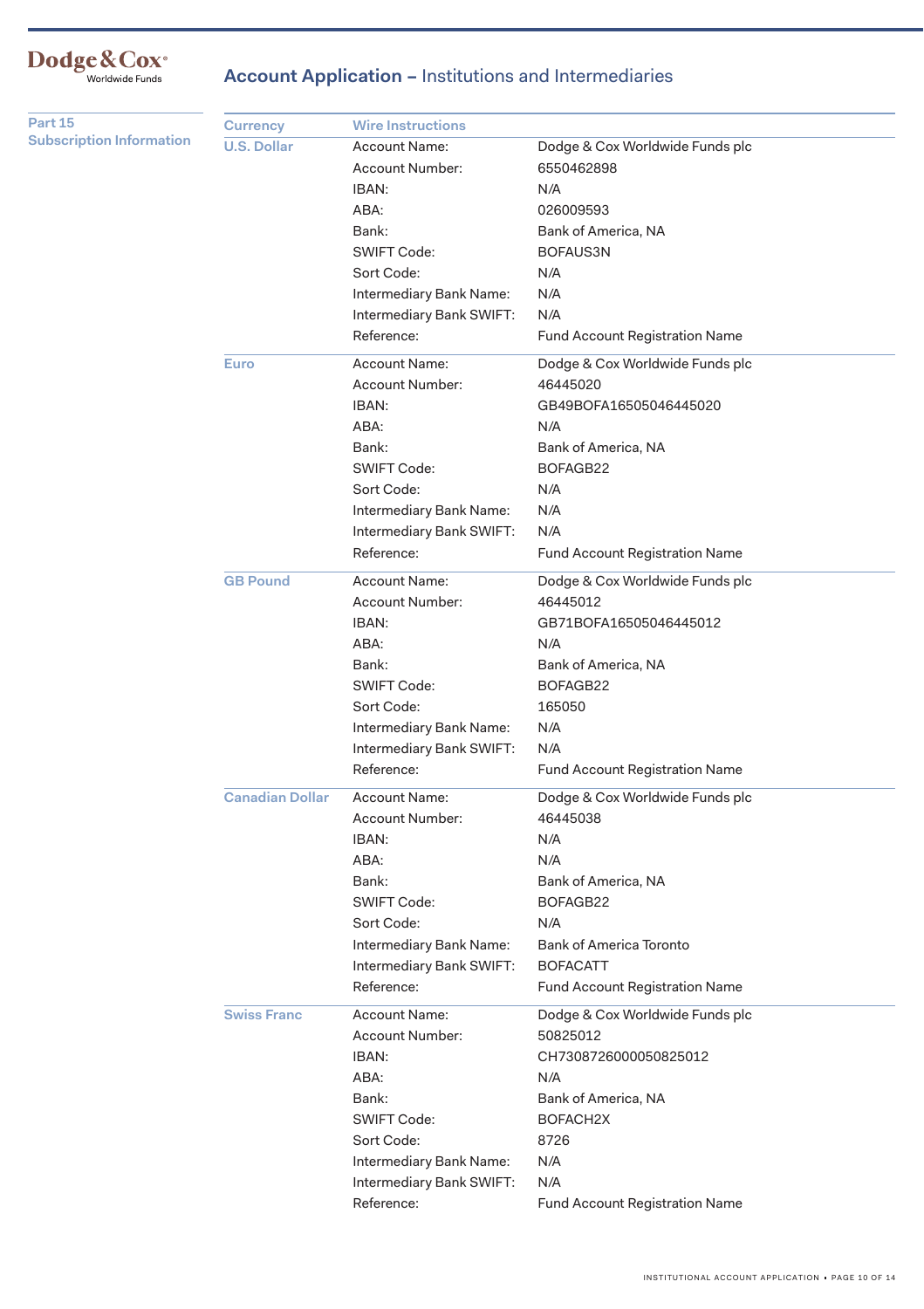# Dodge&Cox<sup>®</sup><br>Worldwide Funds

**Account Application – Institutions and Intermediaries** 

| Part 15                         | <b>Currency</b>        | <b>Wire Instructions</b> |                                       |
|---------------------------------|------------------------|--------------------------|---------------------------------------|
| <b>Subscription Information</b> | <b>U.S. Dollar</b>     | <b>Account Name:</b>     | Dodge & Cox Worldwide Funds plc       |
|                                 |                        | Account Number:          | 6550462898                            |
|                                 |                        | IBAN:                    | N/A                                   |
|                                 |                        | ABA:                     | 026009593                             |
|                                 |                        | Bank:                    | Bank of America, NA                   |
|                                 |                        | <b>SWIFT Code:</b>       | BOFAUS3N                              |
|                                 |                        | Sort Code:               | N/A                                   |
|                                 |                        | Intermediary Bank Name:  | N/A                                   |
|                                 |                        | Intermediary Bank SWIFT: | N/A                                   |
|                                 |                        | Reference:               | Fund Account Registration Name        |
|                                 | <b>Euro</b>            | <b>Account Name:</b>     | Dodge & Cox Worldwide Funds plc       |
|                                 |                        | <b>Account Number:</b>   | 46445020                              |
|                                 |                        | IBAN:                    | GB49BOFA16505046445020                |
|                                 |                        | ABA:                     | N/A                                   |
|                                 |                        | Bank:                    | Bank of America, NA                   |
|                                 |                        | <b>SWIFT Code:</b>       | BOFAGB22                              |
|                                 |                        | Sort Code:               | N/A                                   |
|                                 |                        | Intermediary Bank Name:  | N/A                                   |
|                                 |                        | Intermediary Bank SWIFT: | N/A                                   |
|                                 |                        | Reference:               | Fund Account Registration Name        |
|                                 | <b>GB Pound</b>        | Account Name:            | Dodge & Cox Worldwide Funds plc       |
|                                 |                        | Account Number:          | 46445012                              |
|                                 |                        | IBAN:                    | GB71BOFA16505046445012                |
|                                 |                        | ABA:                     | N/A                                   |
|                                 |                        | Bank:                    | Bank of America, NA                   |
|                                 |                        | <b>SWIFT Code:</b>       | BOFAGB22                              |
|                                 |                        | Sort Code:               | 165050                                |
|                                 |                        | Intermediary Bank Name:  | N/A                                   |
|                                 |                        | Intermediary Bank SWIFT: | N/A                                   |
|                                 |                        | Reference:               | Fund Account Registration Name        |
|                                 | <b>Canadian Dollar</b> | Account Name:            | Dodge & Cox Worldwide Funds plc       |
|                                 |                        | Account Number:          | 46445038                              |
|                                 |                        | IBAN:                    | N/A                                   |
|                                 |                        | ABA:                     | N/A                                   |
|                                 |                        | Bank:                    | Bank of America, NA                   |
|                                 |                        | <b>SWIFT Code:</b>       | BOFAGB22                              |
|                                 |                        | Sort Code:               | N/A                                   |
|                                 |                        | Intermediary Bank Name:  | <b>Bank of America Toronto</b>        |
|                                 |                        | Intermediary Bank SWIFT: | <b>BOFACATT</b>                       |
|                                 |                        | Reference:               | <b>Fund Account Registration Name</b> |
|                                 | <b>Swiss Franc</b>     | <b>Account Name:</b>     | Dodge & Cox Worldwide Funds plc       |
|                                 |                        | Account Number:          | 50825012                              |
|                                 |                        | IBAN:                    | CH7308726000050825012                 |
|                                 |                        | ABA:                     | N/A                                   |
|                                 |                        | Bank:                    | Bank of America, NA                   |
|                                 |                        | SWIFT Code:              | BOFACH2X                              |
|                                 |                        | Sort Code:               | 8726                                  |
|                                 |                        | Intermediary Bank Name:  | N/A                                   |
|                                 |                        | Intermediary Bank SWIFT: | N/A                                   |
|                                 |                        | Reference:               | Fund Account Registration Name        |
|                                 |                        |                          |                                       |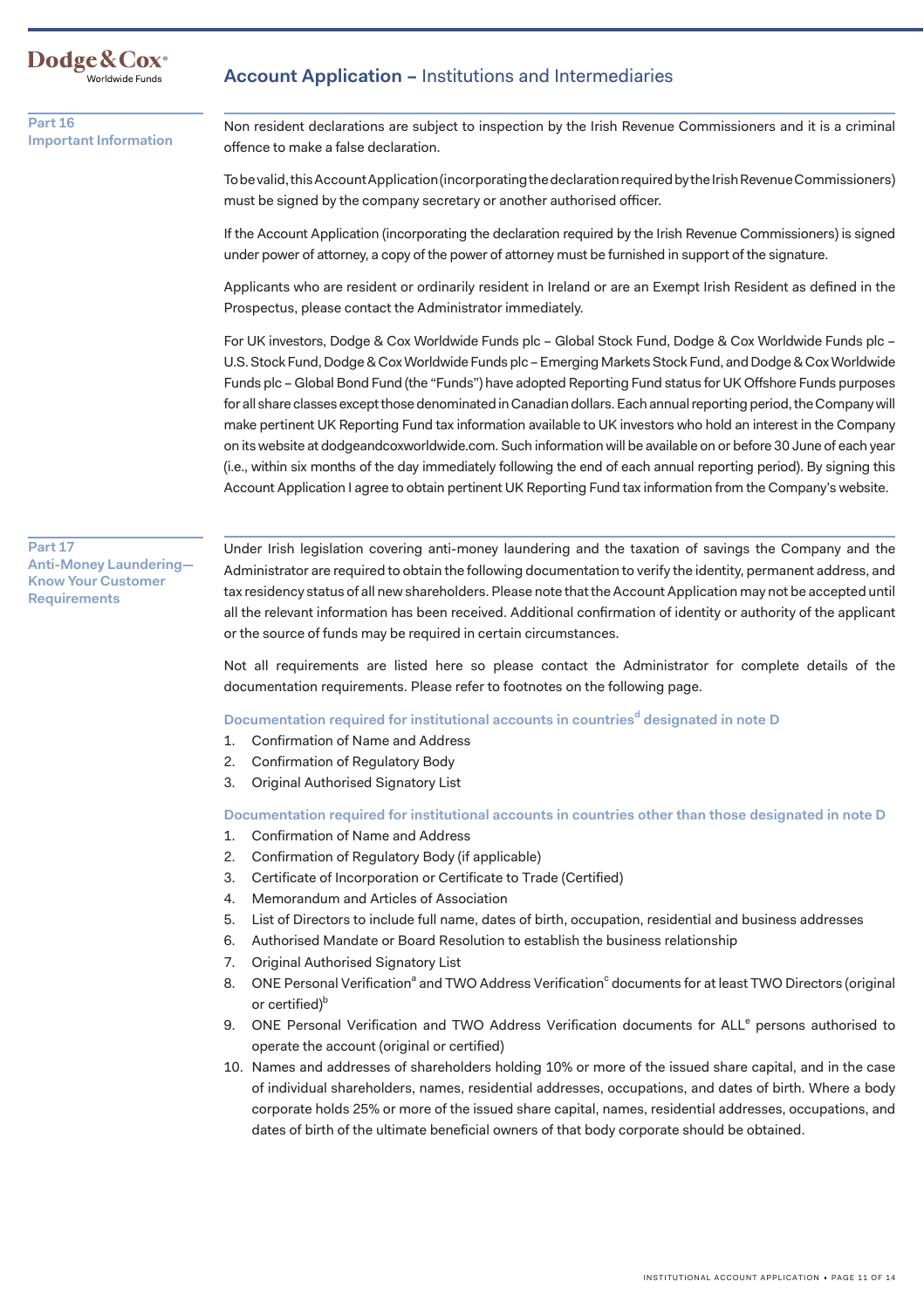Dodge & Cox<sup>®</sup><br><sup>Worldwide Funds</sub></sup>

### **Part 16 Important Information**

## Account Application – Institutions and Intermediaries

Non resident declarations are subject to inspection by the Irish Revenue Commissioners and it is a criminal offence to make a false declaration.

To be valid, this Account Application (incorporating the declaration required by the Irish Revenue Commissioners) must be signed by the company secretary or another authorised officer.

If the Account Application (incorporating the declaration required by the Irish Revenue Commissioners) is signed under power of attorney, a copy of the power of attorney must be furnished in support of the signature.

Applicants who are resident or ordinarily resident in Ireland or are an Exempt Irish Resident as defined in the Prospectus, please contact the Administrator immediately.

For UK investors, Dodge & Cox Worldwide Funds plc – Global Stock Fund, Dodge & Cox Worldwide Funds plc – U.S. Stock Fund, Dodge & Cox Worldwide Funds plc – Emerging Markets Stock Fund, and Dodge & Cox Worldwide Funds plc – Global Bond Fund (the "Funds") have adopted Reporting Fund status for UK Offshore Funds purposes for all share classes except those denominated in Canadian dollars. Each annual reporting period, the Company will make pertinent UK Reporting Fund tax information available to UK investors who hold an interest in the Company on its website at [dodgeandcoxworldwide.com](https://dodgeandcoxworldwide.com). Such information will be available on or before 30 June of each year (i.e., within six months of the day immediately following the end of each annual reporting period). By signing this Account Application I agree to obtain pertinent UK Reporting Fund tax information from the Company's website.

### **Part 17 Anti-Money Laundering— Know Your Customer Requirements**

Under Irish legislation covering anti-money laundering and the taxation of savings the Company and the Administrator are required to obtain the following documentation to verify the identity, permanent address, and tax residency status of all new shareholders. Please note that the Account Application may not be accepted until all the relevant information has been received. Additional confirmation of identity or authority of the applicant or the source of funds may be required in certain circumstances.

Not all requirements are listed here so please contact the Administrator for complete details of the documentation requirements. Please refer to footnotes on the following page.

Documentation required for institutional accounts in countries<sup>d</sup> designated in note **D** 

- 1. Confirmation of Name and Address
- 2. Confirmation of Regulatory Body
- 3. Original Authorised Signatory List

**Documentation required for institutional accounts in countries other than those designated in note D** 

- 1. Confirmation of Name and Address
- 2. Confirmation of Regulatory Body (if applicable)
- 3. Certificate of Incorporation or Certificate to Trade (Certified)
- 4. Memorandum and Articles of Association
- 5. List of Directors to include full name, dates of birth, occupation, residential and business addresses
- 6. Authorised Mandate or Board Resolution to establish the business relationship
- 7. Original Authorised Signatory List
- 8. ONE Personal Verification<sup>a</sup> and TWO Address Verification<sup>c</sup> documents for at least TWO Directors (original or certified)<sup>b</sup>
- 9. ONE Personal Verification and TWO Address Verification documents for ALL<sup>e</sup> persons authorised to operate the account (original or certified)
- 10. Names and addresses of shareholders holding 10% or more of the issued share capital, and in the case of individual shareholders, names, residential addresses, occupations, and dates of birth. Where a body corporate holds 25% or more of the issued share capital, names, residential addresses, occupations, and dates of birth of the ultimate beneficial owners of that body corporate should be obtained.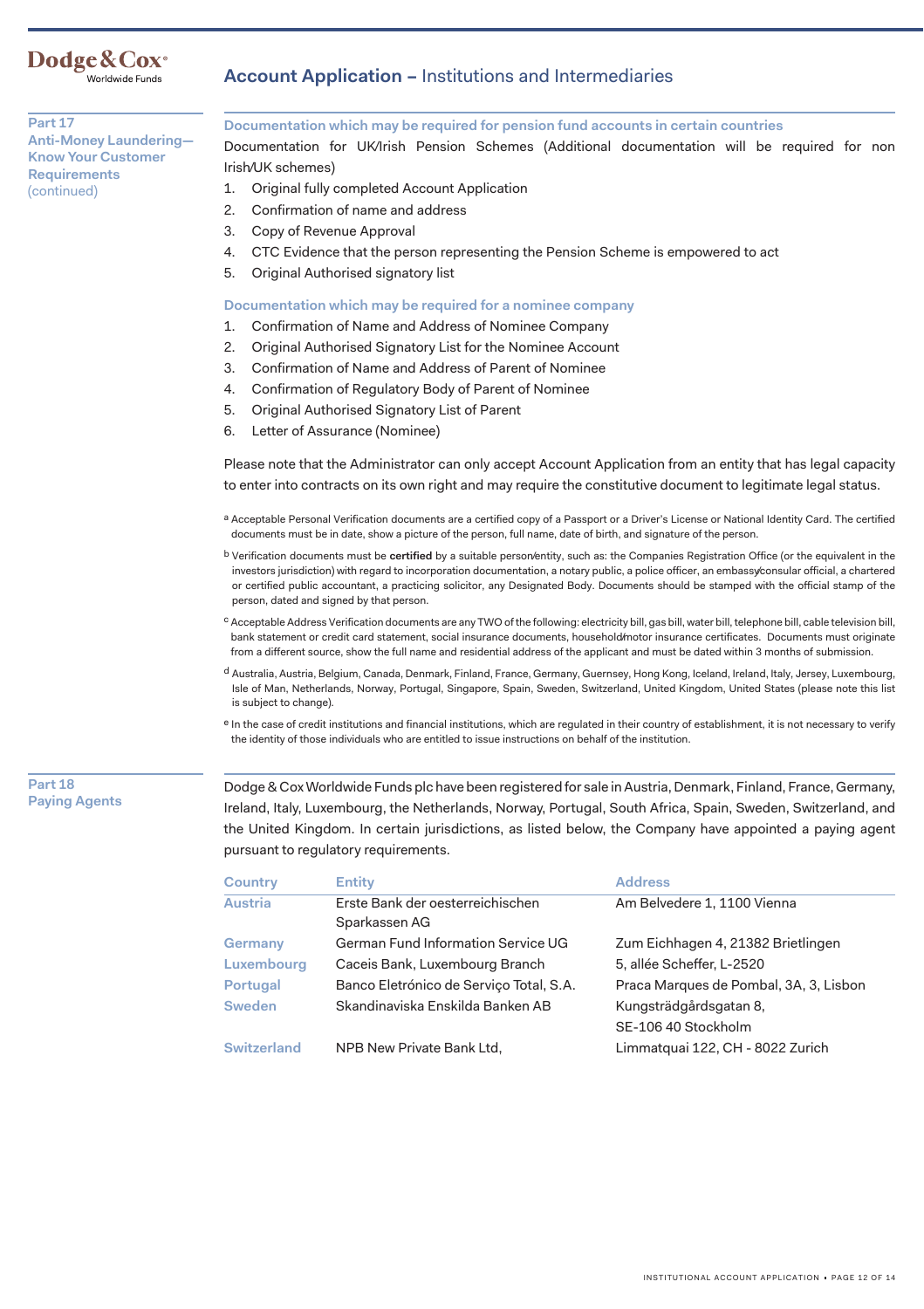# Dodge & Cox<sup>®</sup><br>Worldwide Funds

Account Application – Institutions and Intermediaries

### **Part 17 Anti-Money Laundering— Know Your Customer Requirements**  (continued)

### **Documentation which may be required for pension fund accounts in certain countries**

Documentation for UK/Irish Pension Schemes (Additional documentation will be required for non Irish/UK schemes)

- 1. Original fully completed Account Application
- 2. 2. Confirmation of name and address
- 3. Copy of Revenue Approval
- 4. CTC Evidence that the person representing the Pension Scheme is empowered to act
- 5. Original Authorised signatory list

### **Documentation which may be required for a nominee company**

- 1. Confirmation of Name and Address of Nominee Company
- 2. Original Authorised Signatory List for the Nominee Account
- 3. Confirmation of Name and Address of Parent of Nominee
- 4. Confirmation of Regulatory Body of Parent of Nominee
- 5. Original Authorised Signatory List of Parent
- 6. Letter of Assurance (Nominee)

Please note that the Administrator can only accept Account Application from an entity that has legal capacity to enter into contracts on its own right and may require the constitutive document to legitimate legal status.

- a Acceptable Personal Verification documents are a certified copy of a Passport or a Driver's License or National Identity Card. The certified documents must be in date, show a picture of the person, full name, date of birth, and signature of the person.
- b Verification documents must be **certified** by a suitable person/entity, such as: the Companies Registration Office (or the equivalent in the investors jurisdiction) with regard to incorporation documentation, a notary public, a police officer, an embassy/consular official, a chartered or certified public accountant, a practicing solicitor, any Designated Body. Documents should be stamped with the official stamp of the person, dated and signed by that person.
- c Acceptable Address Verification documents are any TWO of the following: electricity bill, gas bill, water bill, telephone bill, cable television bill, bank statement or credit card statement, social insurance documents, household/motor insurance certificates. Documents must originate from a different source, show the full name and residential address of the applicant and must be dated within 3 months of submission.
- d Australia, Austria, Belgium, Canada, Denmark, Finland, France, Germany, Guernsey, Hong Kong, Iceland, Ireland, Italy, Jersey, Luxembourg, Isle of Man, Netherlands, Norway, Portugal, Singapore, Spain, Sweden, Switzerland, United Kingdom, United States (please note this list is subject to change).
- e In the case of credit institutions and financial institutions, which are regulated in their country of establishment, it is not necessary to verify the identity of those individuals who are entitled to issue instructions on behalf of the institution.

### **Part 18 Paying Agents**

Dodge & Cox Worldwide Funds plc have been registered for sale in Austria, Denmark, Finland, France, Germany, Ireland, Italy, Luxembourg, the Netherlands, Norway, Portugal, South Africa, Spain, Sweden, Switzerland, and the United Kingdom. In certain jurisdictions, as listed below, the Company have appointed a paying agent pursuant to regulatory requirements.

| <b>Country</b>     | <b>Entity</b>                                     | <b>Address</b>                         |
|--------------------|---------------------------------------------------|----------------------------------------|
| Austria            | Erste Bank der oesterreichischen<br>Sparkassen AG | Am Belvedere 1, 1100 Vienna            |
| Germany            | German Fund Information Service UG                | Zum Eichhagen 4, 21382 Brietlingen     |
| Luxembourg         | Caceis Bank, Luxembourg Branch                    | 5, allée Scheffer, L-2520              |
| Portugal           | Banco Eletrónico de Serviço Total, S.A.           | Praca Marques de Pombal, 3A, 3, Lisbon |
| <b>Sweden</b>      | Skandinaviska Enskilda Banken AB                  | Kungsträdgårdsgatan 8,                 |
|                    |                                                   | SE-106 40 Stockholm                    |
| <b>Switzerland</b> | NPB New Private Bank Ltd.                         | Limmatquai 122, CH - 8022 Zurich       |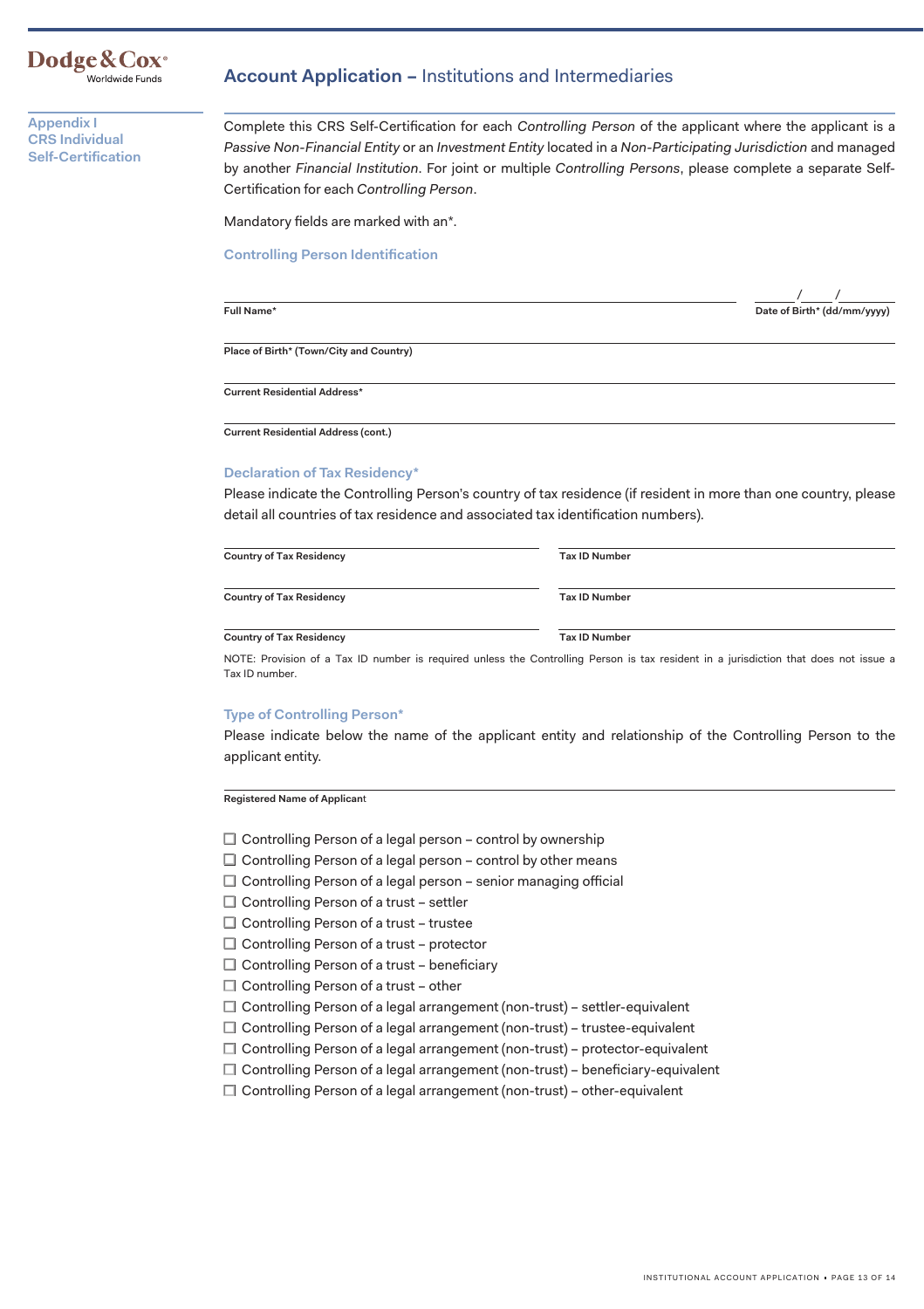### **Dodge&Cox·** Worldwide Funds

**Appendix I CRS Individual Self-Certification**  **Account Application –** Institutions and Intermediaries

Complete this CRS Self-Certification for each *Controlling Person* of the applicant where the applicant is a *Passive Non-Financial Entity* or an *Investment Entity* located in a *Non-Participating Jurisdiction* and managed by another *Financial Institution*. For joint or multiple *Controlling Persons*, please complete a separate Self-Certification for each *Controlling Person*.

Mandatory fields are marked with an\*.

**Controlling Person Identification**

l

------- **Full Name\* Date of Birth\* (dd/mm/yyyy)**  / /

**Place of Birth\* (Town/City and Country)** 

**Current Residential Address\*** 

**Current Residential Address (cont.)** 

### **Declaration of Tax Residency\***

Please indicate the Controlling Person's country of tax residence (if resident in more than one country, please detail all countries of tax residence and associated tax identification numbers).

| <b>Country of Tax Residency</b> | <b>Tax ID Number</b> |
|---------------------------------|----------------------|
| <b>Country of Tax Residency</b> | <b>Tax ID Number</b> |
| <b>Country of Tax Residency</b> | <b>Tax ID Number</b> |

NOTE: Provision of a Tax ID number is required unless the Controlling Person is tax resident in a jurisdiction that does not issue a Tax ID number.

### **Type of Controlling Person\***

Please indicate below the name of the applicant entity and relationship of the Controlling Person to the applicant entity.

**Registered Name of Applican**t

- $\Box$  Controlling Person of a legal person control by ownership
- $\Box$  Controlling Person of a legal person control by other means
- $\Box$  Controlling Person of a legal person senior managing official
- $\square$  Controlling Person of a trust settler
- $\Box$  Controlling Person of a trust trustee
- □ Controlling Person of a trust protector
- $\Box$  Controlling Person of a trust beneficiary
- $\Box$  Controlling Person of a trust other
- □ Controlling Person of a legal arrangement (non-trust) settler-equivalent
- □ Controlling Person of a legal arrangement (non-trust) trustee-equivalent
- □ Controlling Person of a legal arrangement (non-trust) protector-equivalent
- □ Controlling Person of a legal arrangement (non-trust) beneficiary-equivalent
- □ Controlling Person of a legal arrangement (non-trust) other-equivalent